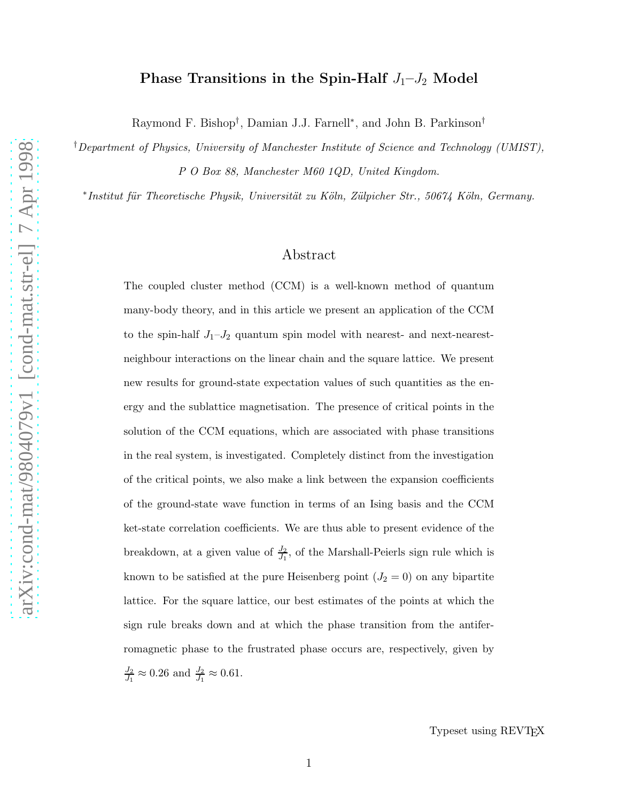# Phase Transitions in the Spin-Half  $J_1-J_2$  Model

Raymond F. Bishop† , Damian J.J. Farnell<sup>∗</sup> , and John B. Parkinson†

†Department of Physics, University of Manchester Institute of Science and Technology (UMIST), P O Box 88, Manchester M60 1QD, United Kingdom.

\*Institut für Theoretische Physik, Universität zu Köln, Zülpicher Str., 50674 Köln, Germany.

# Abstract

The coupled cluster method (CCM) is a well-known method of quantum many-body theory, and in this article we present an application of the CCM to the spin-half  $J_1-J_2$  quantum spin model with nearest- and next-nearestneighbour interactions on the linear chain and the square lattice. We present new results for ground-state expectation values of such quantities as the energy and the sublattice magnetisation. The presence of critical points in the solution of the CCM equations, which are associated with phase transitions in the real system, is investigated. Completely distinct from the investigation of the critical points, we also make a link between the expansion coefficients of the ground-state wave function in terms of an Ising basis and the CCM ket-state correlation coefficients. We are thus able to present evidence of the breakdown, at a given value of  $\frac{J_2}{J_1}$ , of the Marshall-Peierls sign rule which is known to be satisfied at the pure Heisenberg point  $(J_2 = 0)$  on any bipartite lattice. For the square lattice, our best estimates of the points at which the sign rule breaks down and at which the phase transition from the antiferromagnetic phase to the frustrated phase occurs are, respectively, given by  $J_2$  $\frac{J_2}{J_1} \approx 0.26$  and  $\frac{J_2}{J_1} \approx 0.61$ .

Typeset using REVT<sub>F</sub>X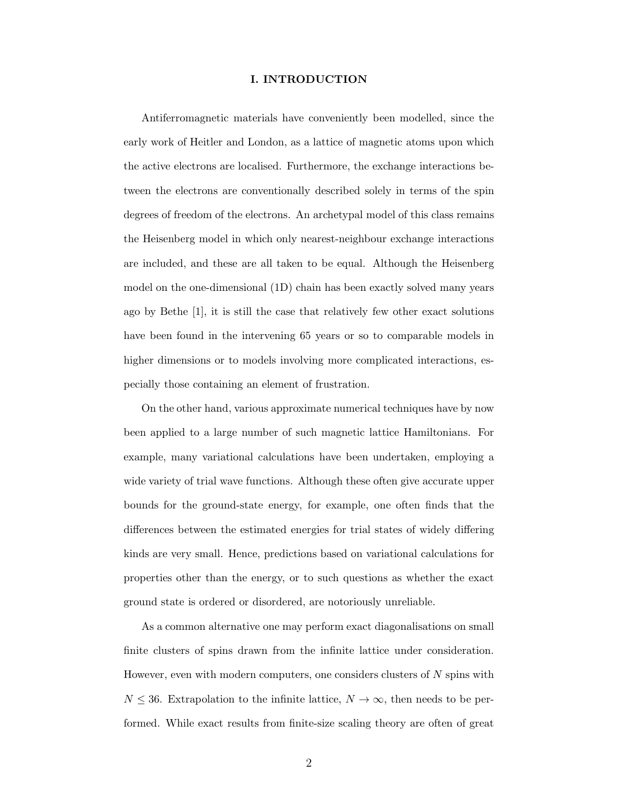### I. INTRODUCTION

Antiferromagnetic materials have conveniently been modelled, since the early work of Heitler and London, as a lattice of magnetic atoms upon which the active electrons are localised. Furthermore, the exchange interactions between the electrons are conventionally described solely in terms of the spin degrees of freedom of the electrons. An archetypal model of this class remains the Heisenberg model in which only nearest-neighbour exchange interactions are included, and these are all taken to be equal. Although the Heisenberg model on the one-dimensional (1D) chain has been exactly solved many years ago by Bethe [1], it is still the case that relatively few other exact solutions have been found in the intervening 65 years or so to comparable models in higher dimensions or to models involving more complicated interactions, especially those containing an element of frustration.

On the other hand, various approximate numerical techniques have by now been applied to a large number of such magnetic lattice Hamiltonians. For example, many variational calculations have been undertaken, employing a wide variety of trial wave functions. Although these often give accurate upper bounds for the ground-state energy, for example, one often finds that the differences between the estimated energies for trial states of widely differing kinds are very small. Hence, predictions based on variational calculations for properties other than the energy, or to such questions as whether the exact ground state is ordered or disordered, are notoriously unreliable.

As a common alternative one may perform exact diagonalisations on small finite clusters of spins drawn from the infinite lattice under consideration. However, even with modern computers, one considers clusters of  $N$  spins with  $N \leq 36$ . Extrapolation to the infinite lattice,  $N \to \infty$ , then needs to be performed. While exact results from finite-size scaling theory are often of great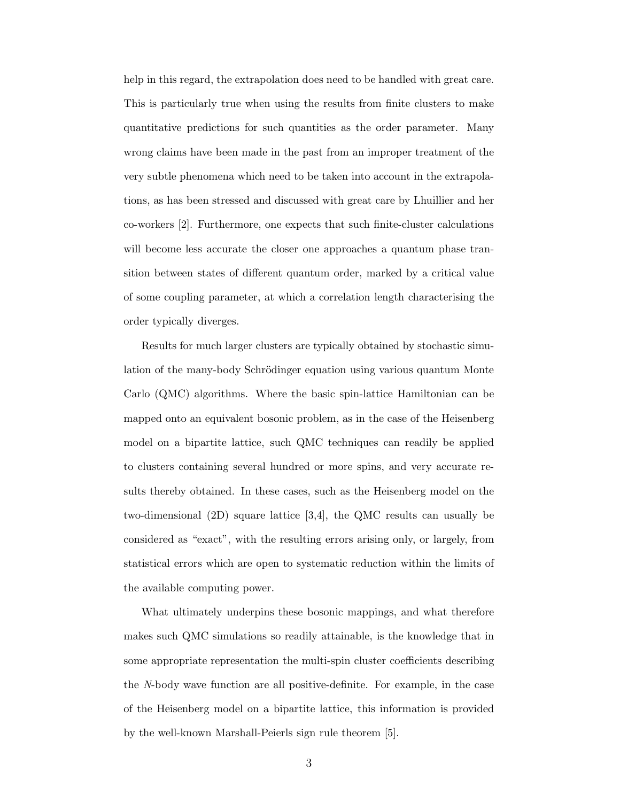help in this regard, the extrapolation does need to be handled with great care. This is particularly true when using the results from finite clusters to make quantitative predictions for such quantities as the order parameter. Many wrong claims have been made in the past from an improper treatment of the very subtle phenomena which need to be taken into account in the extrapolations, as has been stressed and discussed with great care by Lhuillier and her co-workers [2]. Furthermore, one expects that such finite-cluster calculations will become less accurate the closer one approaches a quantum phase transition between states of different quantum order, marked by a critical value of some coupling parameter, at which a correlation length characterising the order typically diverges.

Results for much larger clusters are typically obtained by stochastic simulation of the many-body Schrödinger equation using various quantum Monte Carlo (QMC) algorithms. Where the basic spin-lattice Hamiltonian can be mapped onto an equivalent bosonic problem, as in the case of the Heisenberg model on a bipartite lattice, such QMC techniques can readily be applied to clusters containing several hundred or more spins, and very accurate results thereby obtained. In these cases, such as the Heisenberg model on the two-dimensional (2D) square lattice [3,4], the QMC results can usually be considered as "exact", with the resulting errors arising only, or largely, from statistical errors which are open to systematic reduction within the limits of the available computing power.

What ultimately underpins these bosonic mappings, and what therefore makes such QMC simulations so readily attainable, is the knowledge that in some appropriate representation the multi-spin cluster coefficients describing the N-body wave function are all positive-definite. For example, in the case of the Heisenberg model on a bipartite lattice, this information is provided by the well-known Marshall-Peierls sign rule theorem [5].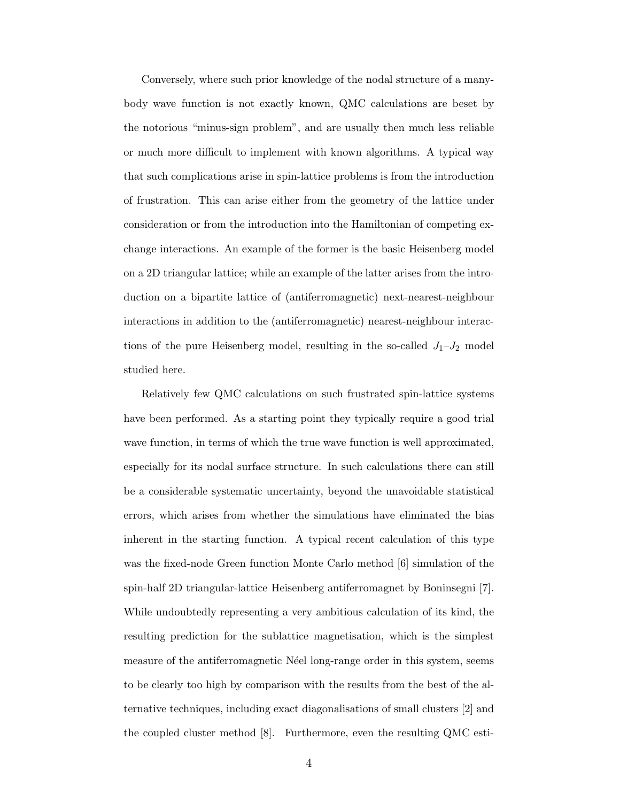Conversely, where such prior knowledge of the nodal structure of a manybody wave function is not exactly known, QMC calculations are beset by the notorious "minus-sign problem", and are usually then much less reliable or much more difficult to implement with known algorithms. A typical way that such complications arise in spin-lattice problems is from the introduction of frustration. This can arise either from the geometry of the lattice under consideration or from the introduction into the Hamiltonian of competing exchange interactions. An example of the former is the basic Heisenberg model on a 2D triangular lattice; while an example of the latter arises from the introduction on a bipartite lattice of (antiferromagnetic) next-nearest-neighbour interactions in addition to the (antiferromagnetic) nearest-neighbour interactions of the pure Heisenberg model, resulting in the so-called  $J_1-J_2$  model studied here.

Relatively few QMC calculations on such frustrated spin-lattice systems have been performed. As a starting point they typically require a good trial wave function, in terms of which the true wave function is well approximated, especially for its nodal surface structure. In such calculations there can still be a considerable systematic uncertainty, beyond the unavoidable statistical errors, which arises from whether the simulations have eliminated the bias inherent in the starting function. A typical recent calculation of this type was the fixed-node Green function Monte Carlo method [6] simulation of the spin-half 2D triangular-lattice Heisenberg antiferromagnet by Boninsegni [7]. While undoubtedly representing a very ambitious calculation of its kind, the resulting prediction for the sublattice magnetisation, which is the simplest measure of the antiferromagnetic Neel long-range order in this system, seems to be clearly too high by comparison with the results from the best of the alternative techniques, including exact diagonalisations of small clusters [2] and the coupled cluster method [8]. Furthermore, even the resulting QMC esti-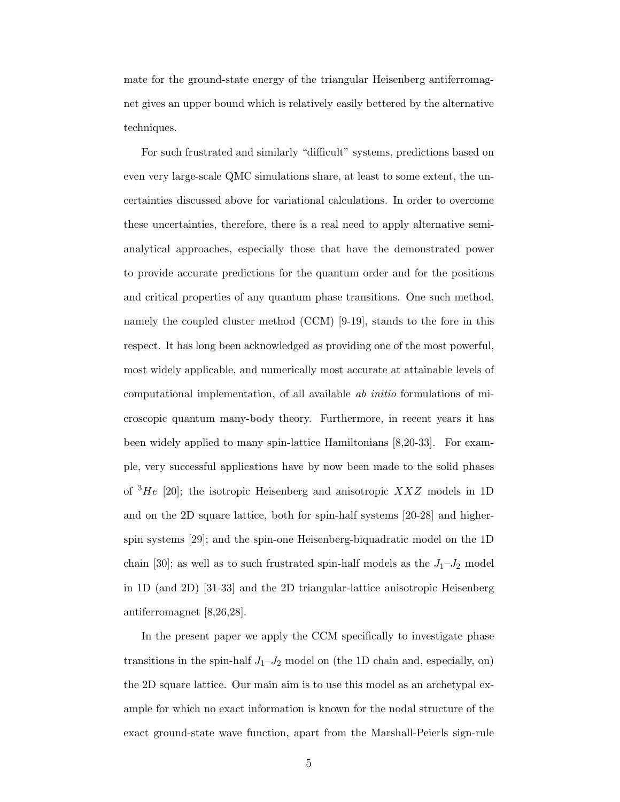mate for the ground-state energy of the triangular Heisenberg antiferromagnet gives an upper bound which is relatively easily bettered by the alternative techniques.

For such frustrated and similarly "difficult" systems, predictions based on even very large-scale QMC simulations share, at least to some extent, the uncertainties discussed above for variational calculations. In order to overcome these uncertainties, therefore, there is a real need to apply alternative semianalytical approaches, especially those that have the demonstrated power to provide accurate predictions for the quantum order and for the positions and critical properties of any quantum phase transitions. One such method, namely the coupled cluster method (CCM) [9-19], stands to the fore in this respect. It has long been acknowledged as providing one of the most powerful, most widely applicable, and numerically most accurate at attainable levels of computational implementation, of all available ab initio formulations of microscopic quantum many-body theory. Furthermore, in recent years it has been widely applied to many spin-lattice Hamiltonians [8,20-33]. For example, very successful applications have by now been made to the solid phases of  ${}^{3}He$  [20]; the isotropic Heisenberg and anisotropic XXZ models in 1D and on the 2D square lattice, both for spin-half systems [20-28] and higherspin systems [29]; and the spin-one Heisenberg-biquadratic model on the 1D chain [30]; as well as to such frustrated spin-half models as the  $J_1-J_2$  model in 1D (and 2D) [31-33] and the 2D triangular-lattice anisotropic Heisenberg antiferromagnet [8,26,28].

In the present paper we apply the CCM specifically to investigate phase transitions in the spin-half  $J_1-J_2$  model on (the 1D chain and, especially, on) the 2D square lattice. Our main aim is to use this model as an archetypal example for which no exact information is known for the nodal structure of the exact ground-state wave function, apart from the Marshall-Peierls sign-rule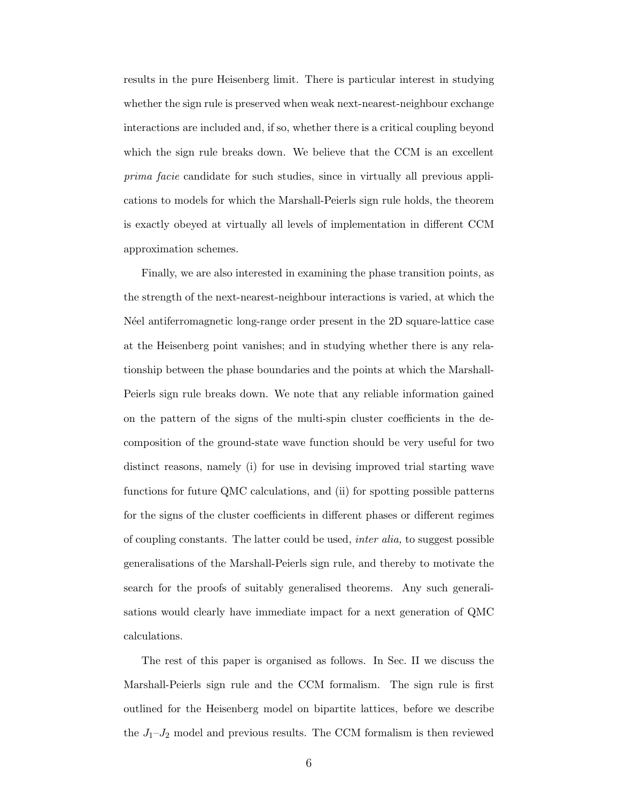results in the pure Heisenberg limit. There is particular interest in studying whether the sign rule is preserved when weak next-nearest-neighbour exchange interactions are included and, if so, whether there is a critical coupling beyond which the sign rule breaks down. We believe that the CCM is an excellent prima facie candidate for such studies, since in virtually all previous applications to models for which the Marshall-Peierls sign rule holds, the theorem is exactly obeyed at virtually all levels of implementation in different CCM approximation schemes.

Finally, we are also interested in examining the phase transition points, as the strength of the next-nearest-neighbour interactions is varied, at which the N'eel antiferromagnetic long-range order present in the 2D square-lattice case at the Heisenberg point vanishes; and in studying whether there is any relationship between the phase boundaries and the points at which the Marshall-Peierls sign rule breaks down. We note that any reliable information gained on the pattern of the signs of the multi-spin cluster coefficients in the decomposition of the ground-state wave function should be very useful for two distinct reasons, namely (i) for use in devising improved trial starting wave functions for future QMC calculations, and (ii) for spotting possible patterns for the signs of the cluster coefficients in different phases or different regimes of coupling constants. The latter could be used, inter alia, to suggest possible generalisations of the Marshall-Peierls sign rule, and thereby to motivate the search for the proofs of suitably generalised theorems. Any such generalisations would clearly have immediate impact for a next generation of QMC calculations.

The rest of this paper is organised as follows. In Sec. II we discuss the Marshall-Peierls sign rule and the CCM formalism. The sign rule is first outlined for the Heisenberg model on bipartite lattices, before we describe the  $J_1-J_2$  model and previous results. The CCM formalism is then reviewed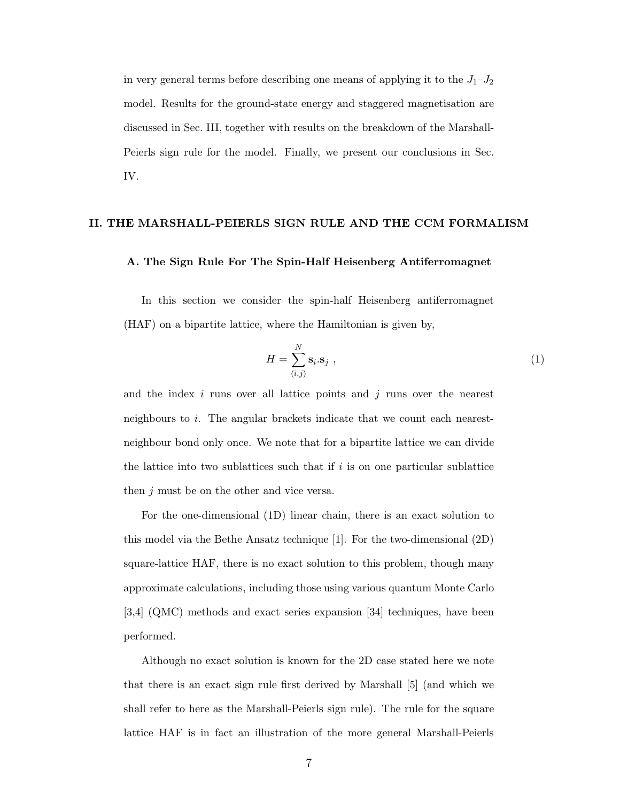in very general terms before describing one means of applying it to the  $J_1-J_2$ model. Results for the ground-state energy and staggered magnetisation are discussed in Sec. III, together with results on the breakdown of the Marshall-Peierls sign rule for the model. Finally, we present our conclusions in Sec. IV.

# II. THE MARSHALL-PEIERLS SIGN RULE AND THE CCM FORMALISM

## A. The Sign Rule For The Spin-Half Heisenberg Antiferromagnet

In this section we consider the spin-half Heisenberg antiferromagnet (HAF) on a bipartite lattice, where the Hamiltonian is given by,

$$
H = \sum_{\langle i,j \rangle}^{N} \mathbf{s}_i \cdot \mathbf{s}_j \tag{1}
$$

and the index  $i$  runs over all lattice points and  $j$  runs over the nearest neighbours to i. The angular brackets indicate that we count each nearestneighbour bond only once. We note that for a bipartite lattice we can divide the lattice into two sublattices such that if  $i$  is on one particular sublattice then j must be on the other and vice versa.

For the one-dimensional (1D) linear chain, there is an exact solution to this model via the Bethe Ansatz technique [1]. For the two-dimensional (2D) square-lattice HAF, there is no exact solution to this problem, though many approximate calculations, including those using various quantum Monte Carlo [3,4] (QMC) methods and exact series expansion [34] techniques, have been performed.

Although no exact solution is known for the 2D case stated here we note that there is an exact sign rule first derived by Marshall [5] (and which we shall refer to here as the Marshall-Peierls sign rule). The rule for the square lattice HAF is in fact an illustration of the more general Marshall-Peierls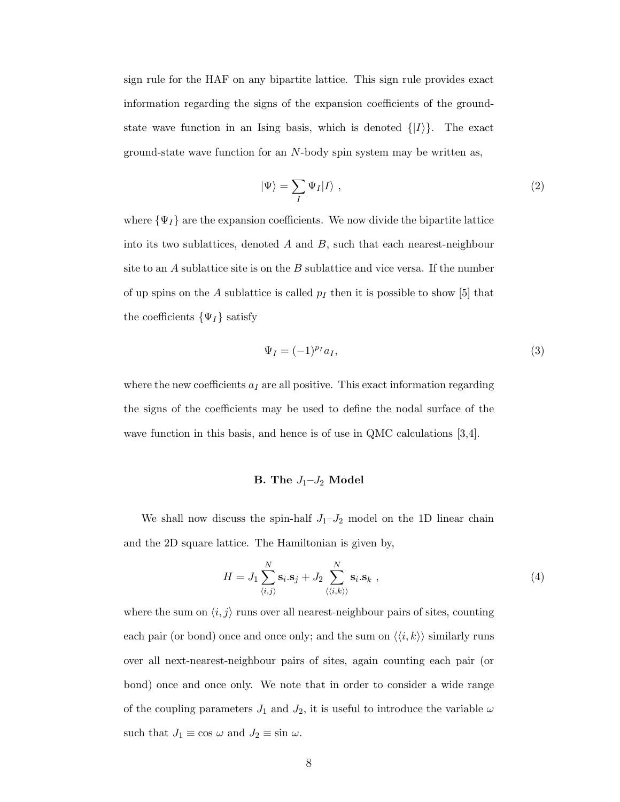<span id="page-7-0"></span>sign rule for the HAF on any bipartite lattice. This sign rule provides exact information regarding the signs of the expansion coefficients of the groundstate wave function in an Ising basis, which is denoted  $\{|I\rangle\}$ . The exact ground-state wave function for an N-body spin system may be written as,

$$
|\Psi\rangle = \sum_{I} \Psi_{I} |I\rangle \;, \tag{2}
$$

where  $\{\Psi_I\}$  are the expansion coefficients. We now divide the bipartite lattice into its two sublattices, denoted  $A$  and  $B$ , such that each nearest-neighbour site to an  $A$  sublattice site is on the  $B$  sublattice and vice versa. If the number of up spins on the A sublattice is called  $p_I$  then it is possible to show [5] that the coefficients  $\{\Psi_I\}$  satisfy

$$
\Psi_I = (-1)^{p_I} a_I,\tag{3}
$$

where the new coefficients  $a_I$  are all positive. This exact information regarding the signs of the coefficients may be used to define the nodal surface of the wave function in this basis, and hence is of use in QMC calculations [3,4].

# B. The  $J_1-J_2$  Model

We shall now discuss the spin-half  $J_1-J_2$  model on the 1D linear chain and the 2D square lattice. The Hamiltonian is given by,

$$
H = J_1 \sum_{\langle i,j \rangle}^{N} \mathbf{s}_i . \mathbf{s}_j + J_2 \sum_{\langle \langle i,k \rangle \rangle}^{N} \mathbf{s}_i . \mathbf{s}_k ,
$$
\n
$$
\tag{4}
$$

where the sum on  $\langle i, j \rangle$  runs over all nearest-neighbour pairs of sites, counting each pair (or bond) once and once only; and the sum on  $\langle \langle i, k \rangle \rangle$  similarly runs over all next-nearest-neighbour pairs of sites, again counting each pair (or bond) once and once only. We note that in order to consider a wide range of the coupling parameters  $J_1$  and  $J_2$ , it is useful to introduce the variable  $\omega$ such that  $J_1 \equiv \cos \omega$  and  $J_2 \equiv \sin \omega$ .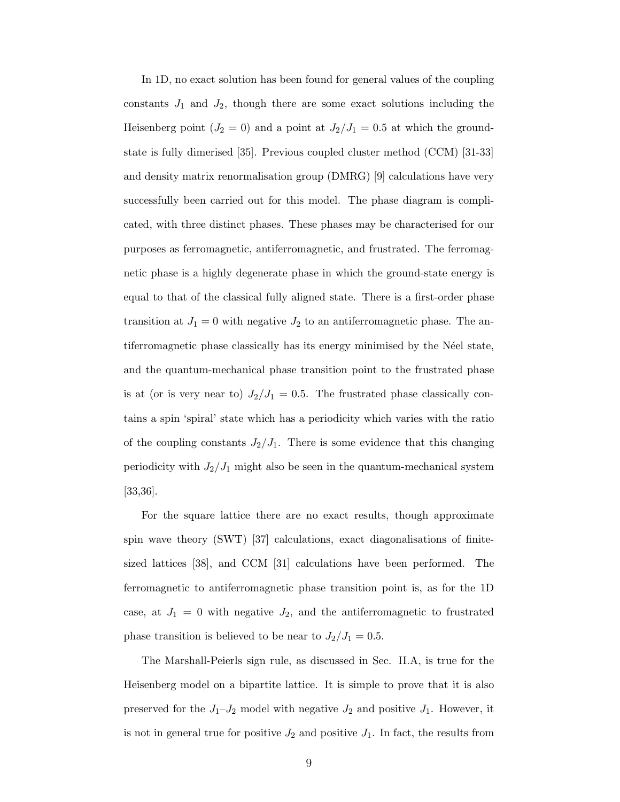In 1D, no exact solution has been found for general values of the coupling constants  $J_1$  and  $J_2$ , though there are some exact solutions including the Heisenberg point ( $J_2 = 0$ ) and a point at  $J_2/J_1 = 0.5$  at which the groundstate is fully dimerised [35]. Previous coupled cluster method (CCM) [31-33] and density matrix renormalisation group (DMRG) [9] calculations have very successfully been carried out for this model. The phase diagram is complicated, with three distinct phases. These phases may be characterised for our purposes as ferromagnetic, antiferromagnetic, and frustrated. The ferromagnetic phase is a highly degenerate phase in which the ground-state energy is equal to that of the classical fully aligned state. There is a first-order phase transition at  $J_1 = 0$  with negative  $J_2$  to an antiferromagnetic phase. The antiferromagnetic phase classically has its energy minimised by the N´eel state, and the quantum-mechanical phase transition point to the frustrated phase is at (or is very near to)  $J_2/J_1 = 0.5$ . The frustrated phase classically contains a spin 'spiral' state which has a periodicity which varies with the ratio of the coupling constants  $J_2/J_1$ . There is some evidence that this changing periodicity with  $J_2/J_1$  might also be seen in the quantum-mechanical system [33,36].

For the square lattice there are no exact results, though approximate spin wave theory (SWT) [37] calculations, exact diagonalisations of finitesized lattices [38], and CCM [31] calculations have been performed. The ferromagnetic to antiferromagnetic phase transition point is, as for the 1D case, at  $J_1 = 0$  with negative  $J_2$ , and the antiferromagnetic to frustrated phase transition is believed to be near to  $J_2/J_1 = 0.5$ .

The Marshall-Peierls sign rule, as discussed in Sec. II.A, is true for the Heisenberg model on a bipartite lattice. It is simple to prove that it is also preserved for the  $J_1-J_2$  model with negative  $J_2$  and positive  $J_1$ . However, it is not in general true for positive  $J_2$  and positive  $J_1$ . In fact, the results from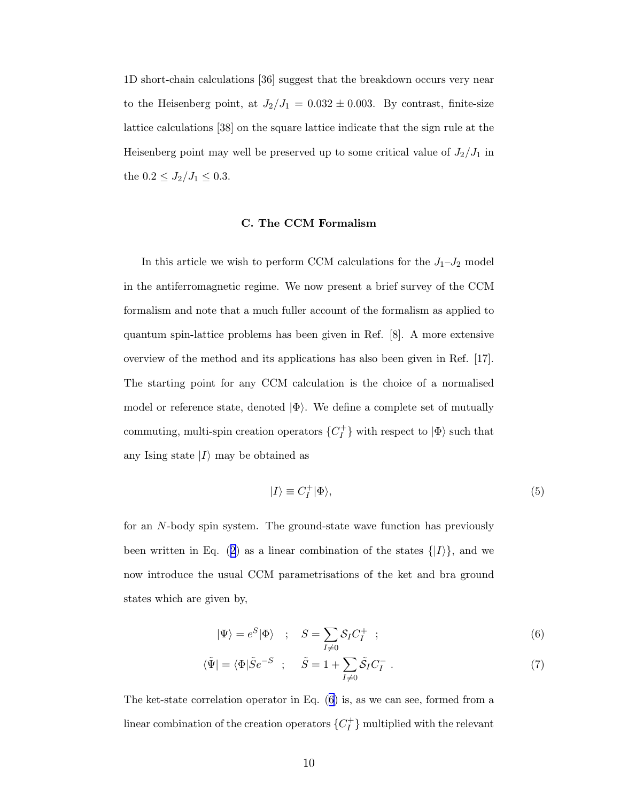<span id="page-9-0"></span>1D short-chain calculations [36] suggest that the breakdown occurs very near to the Heisenberg point, at  $J_2/J_1 = 0.032 \pm 0.003$ . By contrast, finite-size lattice calculations [38] on the square lattice indicate that the sign rule at the Heisenberg point may well be preserved up to some critical value of  $J_2/J_1$  in the  $0.2 \le J_2/J_1 \le 0.3$ .

### C. The CCM Formalism

In this article we wish to perform CCM calculations for the  $J_1-J_2$  model in the antiferromagnetic regime. We now present a brief survey of the CCM formalism and note that a much fuller account of the formalism as applied to quantum spin-lattice problems has been given in Ref. [8]. A more extensive overview of the method and its applications has also been given in Ref. [17]. The starting point for any CCM calculation is the choice of a normalised model or reference state, denoted  $|\Phi\rangle$ . We define a complete set of mutually commuting, multi-spin creation operators  ${C_I^+}$  $\{T\}$  with respect to  $|\Phi\rangle$  such that any Ising state  $|I\rangle$  may be obtained as

$$
|I\rangle \equiv C_I^+|\Phi\rangle,\tag{5}
$$

for an N-body spin system. The ground-state wave function has previously beenwritten in Eq. ([2\)](#page-7-0) as a linear combination of the states  $\{|I\rangle\}$ , and we now introduce the usual CCM parametrisations of the ket and bra ground states which are given by,

$$
|\Psi\rangle = e^S|\Phi\rangle \quad ; \quad S = \sum_{I \neq 0} \mathcal{S}_I C_I^+ \quad ; \tag{6}
$$

$$
\langle \tilde{\Psi} | = \langle \Phi | \tilde{S} e^{-S} \; ; \quad \tilde{S} = 1 + \sum_{I \neq 0} \tilde{S}_I C_I^- \; . \tag{7}
$$

The ket-state correlation operator in Eq. (6) is, as we can see, formed from a linear combination of the creation operators  $\{C_I^+\}$  $\binom{+}{I}$  multiplied with the relevant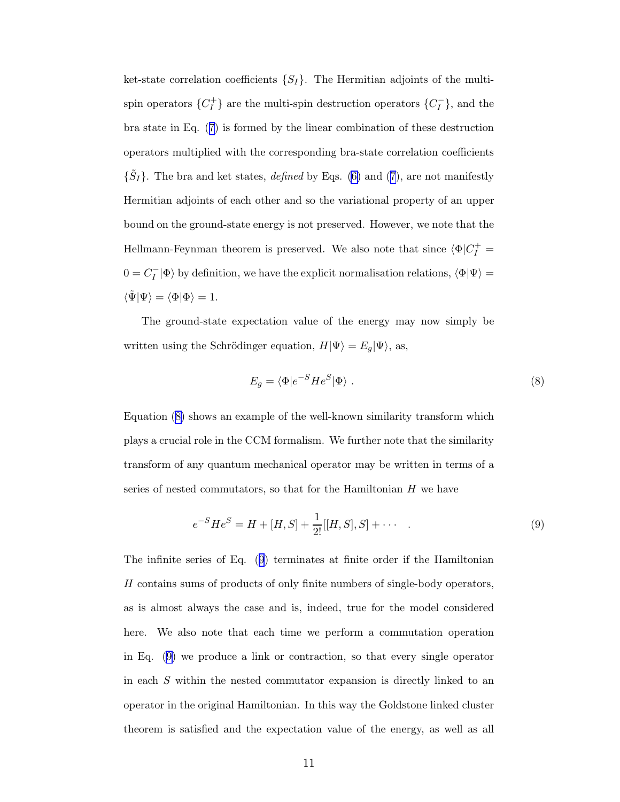<span id="page-10-0"></span>ket-state correlation coefficients  $\{S_I\}$ . The Hermitian adjoints of the multispin operators  $\{C_I^+\}$  $\{C_I^-\}$ , and the multi-spin destruction operators  $\{C_I^-\}$ , and the bra state in Eq.([7\)](#page-9-0) is formed by the linear combination of these destruction operators multiplied with the corresponding bra-state correlation coefficients  $\{\tilde{S}_I\}$ .The bra and ket states, *defined* by Eqs. [\(6\)](#page-9-0) and ([7\)](#page-9-0), are not manifestly Hermitian adjoints of each other and so the variational property of an upper bound on the ground-state energy is not preserved. However, we note that the Hellmann-Feynman theorem is preserved. We also note that since  $\langle \Phi | C_I^+ =$  $0 = C_I^-|\Phi\rangle$  by definition, we have the explicit normalisation relations,  $\langle \Phi|\Psi\rangle =$  $\langle \tilde{\Psi} | \Psi \rangle = \langle \Phi | \Phi \rangle = 1.$ 

The ground-state expectation value of the energy may now simply be written using the Schrödinger equation,  $H|\Psi\rangle = E_g|\Psi\rangle$ , as,

$$
E_g = \langle \Phi | e^{-S} H e^{S} | \Phi \rangle . \tag{8}
$$

Equation (8) shows an example of the well-known similarity transform which plays a crucial role in the CCM formalism. We further note that the similarity transform of any quantum mechanical operator may be written in terms of a series of nested commutators, so that for the Hamiltonian H we have

$$
e^{-S}He^{S} = H + [H, S] + \frac{1}{2!}[[H, S], S] + \cdots
$$
\n(9)

The infinite series of Eq. (9) terminates at finite order if the Hamiltonian H contains sums of products of only finite numbers of single-body operators, as is almost always the case and is, indeed, true for the model considered here. We also note that each time we perform a commutation operation in Eq. (9) we produce a link or contraction, so that every single operator in each S within the nested commutator expansion is directly linked to an operator in the original Hamiltonian. In this way the Goldstone linked cluster theorem is satisfied and the expectation value of the energy, as well as all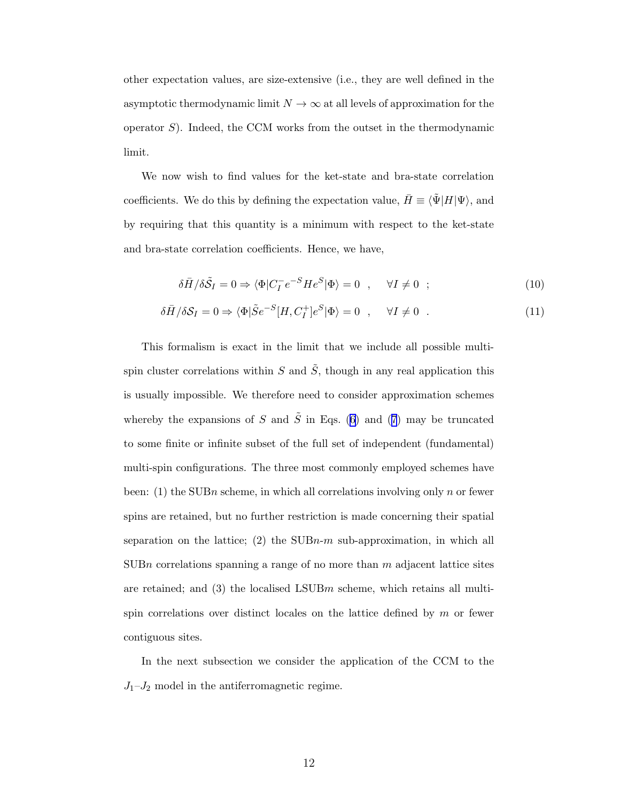other expectation values, are size-extensive (i.e., they are well defined in the asymptotic thermodynamic limit  $N \to \infty$  at all levels of approximation for the operator  $S$ ). Indeed, the CCM works from the outset in the thermodynamic limit.

We now wish to find values for the ket-state and bra-state correlation coefficients. We do this by defining the expectation value,  $\bar{H} \equiv \langle \tilde{\Psi} | H | \Psi \rangle$ , and by requiring that this quantity is a minimum with respect to the ket-state and bra-state correlation coefficients. Hence, we have,

$$
\delta \bar{H} / \delta \tilde{S}_I = 0 \Rightarrow \langle \Phi | C_I^- e^{-S} H e^S | \Phi \rangle = 0 \quad , \quad \forall I \neq 0 \quad ; \tag{10}
$$

$$
\delta \bar{H} / \delta \mathcal{S}_I = 0 \Rightarrow \langle \Phi | \tilde{S} e^{-S} [H, C_I^+] e^{S} | \Phi \rangle = 0 \quad , \quad \forall I \neq 0 \quad . \tag{11}
$$

This formalism is exact in the limit that we include all possible multispin cluster correlations within S and  $\tilde{S}$ , though in any real application this is usually impossible. We therefore need to consider approximation schemes wherebythe expansions of S and  $\tilde{S}$  in Eqs. ([6](#page-9-0)) and ([7](#page-9-0)) may be truncated to some finite or infinite subset of the full set of independent (fundamental) multi-spin configurations. The three most commonly employed schemes have been: (1) the SUBn scheme, in which all correlations involving only n or fewer spins are retained, but no further restriction is made concerning their spatial separation on the lattice; (2) the  $SUBn-m$  sub-approximation, in which all SUBn correlations spanning a range of no more than  $m$  adjacent lattice sites are retained; and  $(3)$  the localised LSUBm scheme, which retains all multispin correlations over distinct locales on the lattice defined by  $m$  or fewer contiguous sites.

In the next subsection we consider the application of the CCM to the  $J_1-J_2$  model in the antiferromagnetic regime.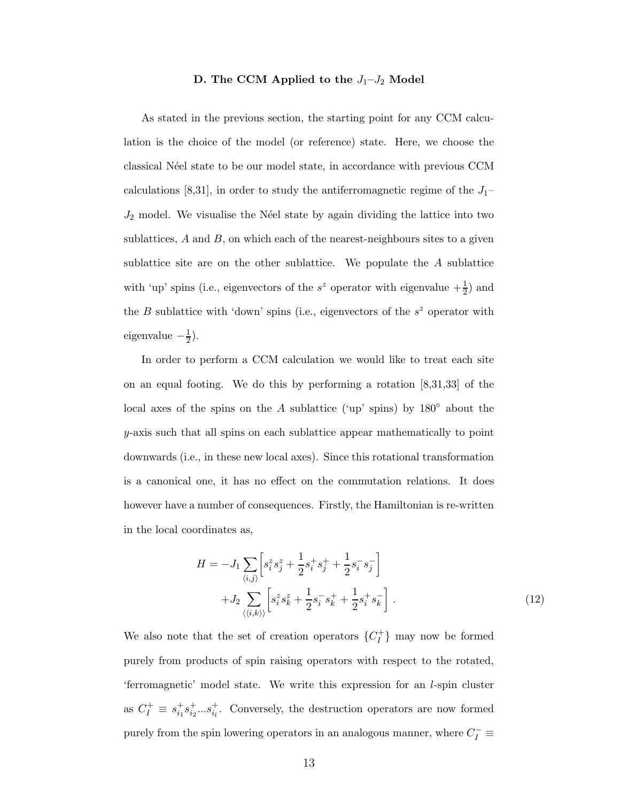# D. The CCM Applied to the  $J_1-J_2$  Model

<span id="page-12-0"></span>As stated in the previous section, the starting point for any CCM calculation is the choice of the model (or reference) state. Here, we choose the classical Néel state to be our model state, in accordance with previous CCM calculations [8,31], in order to study the antiferromagnetic regime of the  $J_1$ –  $J_2$  model. We visualise the N'eel state by again dividing the lattice into two sublattices,  $A$  and  $B$ , on which each of the nearest-neighbours sites to a given sublattice site are on the other sublattice. We populate the A sublattice with 'up' spins (i.e., eigenvectors of the  $s^z$  operator with eigenvalue  $+\frac{1}{2}$ ) and the  $B$  sublattice with 'down' spins (i.e., eigenvectors of the  $s^z$  operator with eigenvalue  $-\frac{1}{2}$  $(\frac{1}{2})$ .

In order to perform a CCM calculation we would like to treat each site on an equal footing. We do this by performing a rotation  $[8,31,33]$  of the local axes of the spins on the A sublattice ('up' spins) by  $180^\circ$  about the y-axis such that all spins on each sublattice appear mathematically to point downwards (i.e., in these new local axes). Since this rotational transformation is a canonical one, it has no effect on the commutation relations. It does however have a number of consequences. Firstly, the Hamiltonian is re-written in the local coordinates as,

$$
H = -J_1 \sum_{\langle i,j \rangle} \left[ s_i^z s_j^z + \frac{1}{2} s_i^+ s_j^+ + \frac{1}{2} s_i^- s_j^- \right] + J_2 \sum_{\langle \langle i,k \rangle \rangle} \left[ s_i^z s_k^z + \frac{1}{2} s_i^- s_k^+ + \frac{1}{2} s_i^+ s_k^- \right].
$$
 (12)

We also note that the set of creation operators  ${C_I^+}$  $\binom{+}{I}$  may now be formed purely from products of spin raising operators with respect to the rotated, 'ferromagnetic' model state. We write this expression for an l-spin cluster as  $C_I^+ \equiv s_{i_1}^+$  $^{+}_{i_1}s^{+}_{i_2}$  $_{i_2}^{\dagger}...s_{i_l}^{\dagger}$ . Conversely, the destruction operators are now formed purely from the spin lowering operators in an analogous manner, where  $C_I^- \equiv$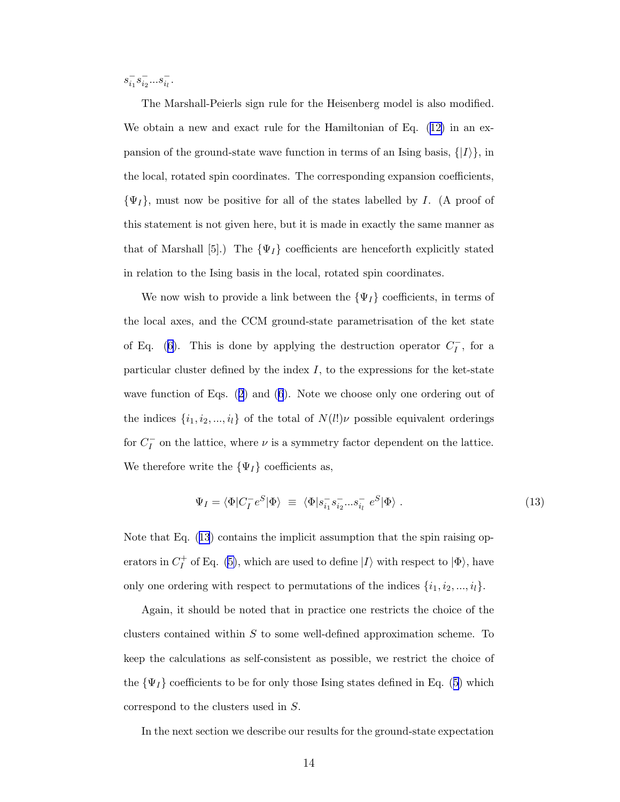<span id="page-13-0"></span> $s_{i_1}^{-} s_{i_2}^{-}...s_{i_l}^{-}$ .

The Marshall-Peierls sign rule for the Heisenberg model is also modified. We obtain a new and exact rule for the Hamiltonian of Eq.([12\)](#page-12-0) in an expansion of the ground-state wave function in terms of an Ising basis,  $\{|I\rangle\}$ , in the local, rotated spin coordinates. The corresponding expansion coefficients,  $\{\Psi_I\}$ , must now be positive for all of the states labelled by I. (A proof of this statement is not given here, but it is made in exactly the same manner as that of Marshall [5].) The  $\{\Psi_I\}$  coefficients are henceforth explicitly stated in relation to the Ising basis in the local, rotated spin coordinates.

We now wish to provide a link between the  $\{\Psi_I\}$  coefficients, in terms of the local axes, and the CCM ground-state parametrisation of the ket state ofEq. ([6\)](#page-9-0). This is done by applying the destruction operator  $C_I^-$ , for a particular cluster defined by the index  $I$ , to the expressions for the ket-state wave function of Eqs.([2\)](#page-7-0) and([6](#page-9-0)). Note we choose only one ordering out of the indices  $\{i_1, i_2, ..., i_l\}$  of the total of  $N(l!) \nu$  possible equivalent orderings for  $C_I^-$  on the lattice, where  $\nu$  is a symmetry factor dependent on the lattice. We therefore write the  $\{\Psi_I\}$  coefficients as,

$$
\Psi_I = \langle \Phi | C_I^- e^S | \Phi \rangle \equiv \langle \Phi | s_{i_1}^- s_{i_2}^- ... s_{i_l}^- e^S | \Phi \rangle . \tag{13}
$$

Note that Eq. (13) contains the implicit assumption that the spin raising operators in  $C_I^+$ <sup> $+$ </sup> of Eq. [\(5\)](#page-9-0), which are used to define  $|I\rangle$  with respect to  $|\Phi\rangle$ , have only one ordering with respect to permutations of the indices  $\{i_1, i_2, ..., i_l\}$ .

Again, it should be noted that in practice one restricts the choice of the clusters contained within  $S$  to some well-defined approximation scheme. To keep the calculations as self-consistent as possible, we restrict the choice of the $\{\Psi_I\}$  coefficients to be for only those Ising states defined in Eq. ([5](#page-9-0)) which correspond to the clusters used in S.

In the next section we describe our results for the ground-state expectation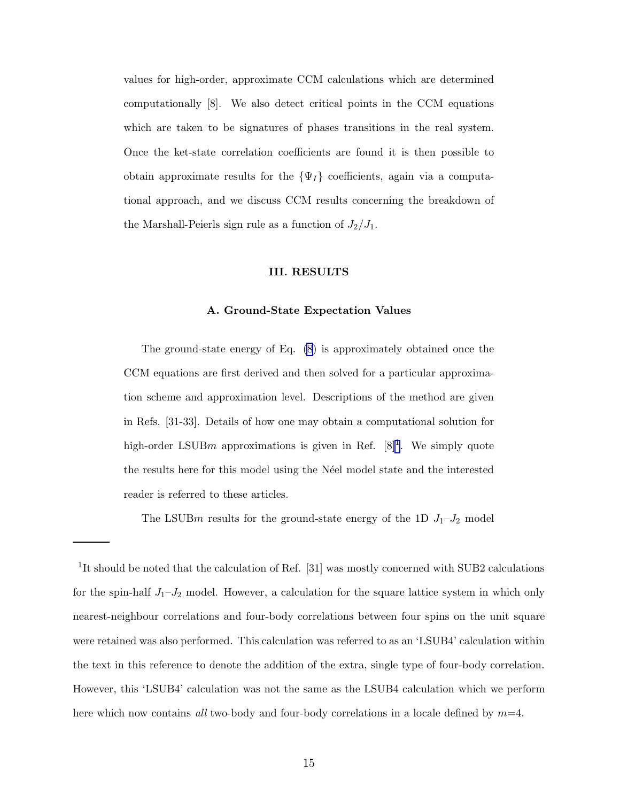values for high-order, approximate CCM calculations which are determined computationally [8]. We also detect critical points in the CCM equations which are taken to be signatures of phases transitions in the real system. Once the ket-state correlation coefficients are found it is then possible to obtain approximate results for the  $\{\Psi_I\}$  coefficients, again via a computational approach, and we discuss CCM results concerning the breakdown of the Marshall-Peierls sign rule as a function of  $J_2/J_1$ .

### III. RESULTS

#### A. Ground-State Expectation Values

The ground-state energy of Eq. [\(8\)](#page-10-0) is approximately obtained once the CCM equations are first derived and then solved for a particular approximation scheme and approximation level. Descriptions of the method are given in Refs. [31-33]. Details of how one may obtain a computational solution for high-order LSUBm approximations is given in Ref.  $[8]^1$ . We simply quote the results here for this model using the N´eel model state and the interested reader is referred to these articles.

The LSUBm results for the ground-state energy of the 1D  $J_1-J_2$  model

<sup>&</sup>lt;sup>1</sup>It should be noted that the calculation of Ref. [31] was mostly concerned with SUB2 calculations for the spin-half  $J_1-J_2$  model. However, a calculation for the square lattice system in which only nearest-neighbour correlations and four-body correlations between four spins on the unit square were retained was also performed. This calculation was referred to as an 'LSUB4' calculation within the text in this reference to denote the addition of the extra, single type of four-body correlation. However, this 'LSUB4' calculation was not the same as the LSUB4 calculation which we perform here which now contains all two-body and four-body correlations in a locale defined by  $m=4$ .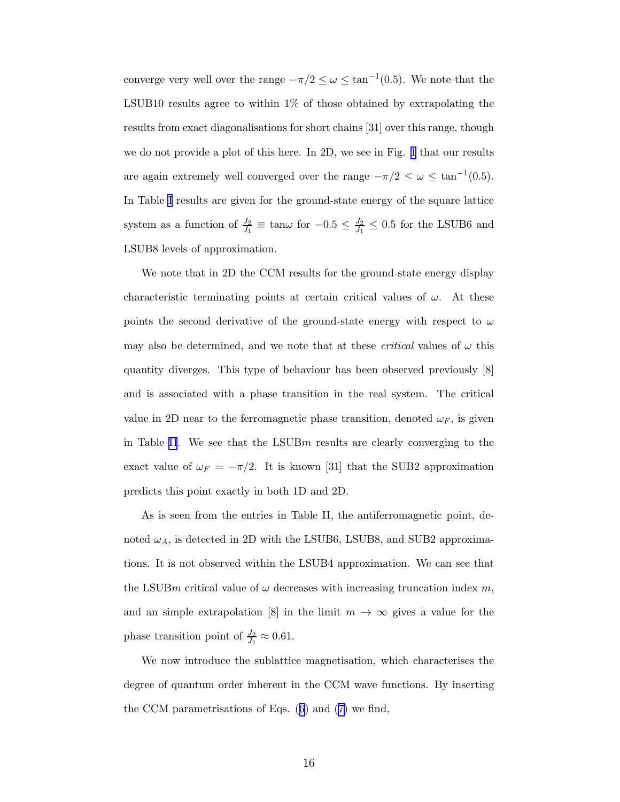converge very well over the range  $-\pi/2 \leq \omega \leq \tan^{-1}(0.5)$ . We note that the LSUB10 results agree to within 1% of those obtained by extrapolating the results from exact diagonalisations for short chains [31] over this range, though we do not provide a plot of this here. In 2D, we see in Fig. [1](#page-25-0) that our results are again extremely well converged over the range  $-\pi/2 \leq \omega \leq \tan^{-1}(0.5)$ . In Table [I](#page-26-0) results are given for the ground-state energy of the square lattice system as a function of  $\frac{J_2}{J_1} \equiv \tan \omega$  for  $-0.5 \leq \frac{J_2}{J_1}$  $\frac{J_2}{J_1} \leq 0.5$  for the LSUB6 and LSUB8 levels of approximation.

We note that in 2D the CCM results for the ground-state energy display characteristic terminating points at certain critical values of  $\omega$ . At these points the second derivative of the ground-state energy with respect to  $\omega$ may also be determined, and we note that at these *critical* values of  $\omega$  this quantity diverges. This type of behaviour has been observed previously [8] and is associated with a phase transition in the real system. The critical value in 2D near to the ferromagnetic phase transition, denoted  $\omega_F$ , is given in Table [II](#page-27-0). We see that the LSUBm results are clearly converging to the exact value of  $\omega_F = -\pi/2$ . It is known [31] that the SUB2 approximation predicts this point exactly in both 1D and 2D.

As is seen from the entries in Table II, the antiferromagnetic point, denoted  $\omega_A$ , is detected in 2D with the LSUB6, LSUB8, and SUB2 approximations. It is not observed within the LSUB4 approximation. We can see that the LSUBm critical value of  $\omega$  decreases with increasing truncation index m, and an simple extrapolation [8] in the limit  $m \to \infty$  gives a value for the phase transition point of  $\frac{J_2}{J_1} \approx 0.61$ .

We now introduce the sublattice magnetisation, which characterises the degree of quantum order inherent in the CCM wave functions. By inserting the CCM parametrisations of Eqs.([6\)](#page-9-0) and [\(7\)](#page-9-0) we find,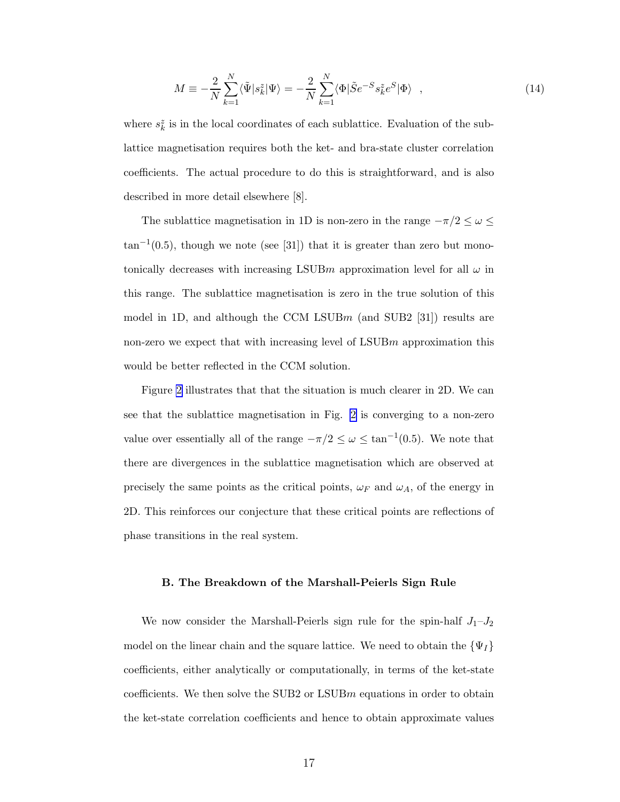$$
M \equiv -\frac{2}{N} \sum_{k=1}^{N} \langle \tilde{\Psi} | s_k^z | \Psi \rangle = -\frac{2}{N} \sum_{k=1}^{N} \langle \Phi | \tilde{S} e^{-S} s_k^z e^S | \Phi \rangle \quad , \tag{14}
$$

where  $s_k^z$  is in the local coordinates of each sublattice. Evaluation of the sublattice magnetisation requires both the ket- and bra-state cluster correlation coefficients. The actual procedure to do this is straightforward, and is also described in more detail elsewhere [8].

The sublattice magnetisation in 1D is non-zero in the range  $-\pi/2 \leq \omega \leq$  $\tan^{-1}(0.5)$ , though we note (see [31]) that it is greater than zero but monotonically decreases with increasing LSUBm approximation level for all  $\omega$  in this range. The sublattice magnetisation is zero in the true solution of this model in 1D, and although the CCM LSUBm (and SUB2 [31]) results are non-zero we expect that with increasing level of  $LSUBm$  approximation this would be better reflected in the CCM solution.

Figure [2](#page-25-0) illustrates that that the situation is much clearer in 2D. We can see that the sublattice magnetisation in Fig. [2](#page-25-0) is converging to a non-zero value over essentially all of the range  $-\pi/2 \leq \omega \leq \tan^{-1}(0.5)$ . We note that there are divergences in the sublattice magnetisation which are observed at precisely the same points as the critical points,  $\omega_F$  and  $\omega_A$ , of the energy in 2D. This reinforces our conjecture that these critical points are reflections of phase transitions in the real system.

#### B. The Breakdown of the Marshall-Peierls Sign Rule

We now consider the Marshall-Peierls sign rule for the spin-half  $J_1-J_2$ model on the linear chain and the square lattice. We need to obtain the  $\{\Psi_I\}$ coefficients, either analytically or computationally, in terms of the ket-state coefficients. We then solve the SUB2 or  $LSUBm$  equations in order to obtain the ket-state correlation coefficients and hence to obtain approximate values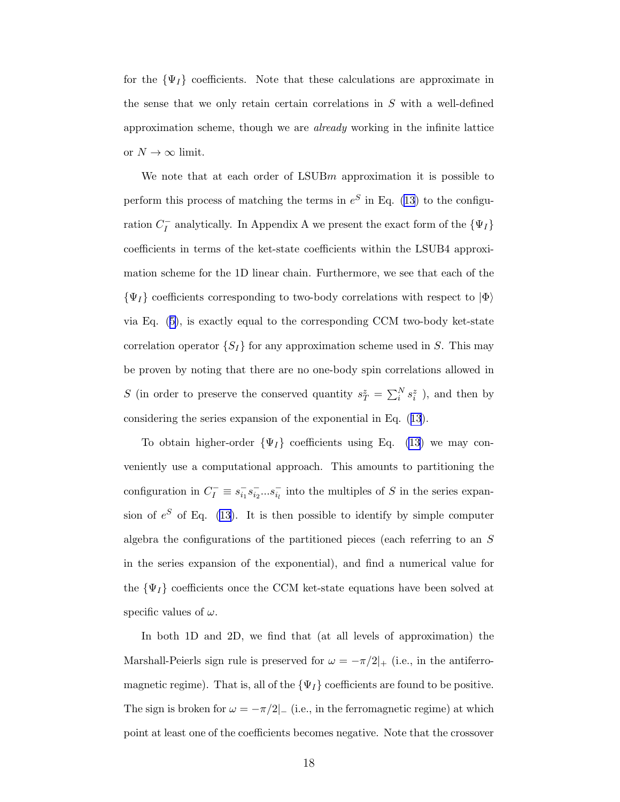for the  $\{\Psi_I\}$  coefficients. Note that these calculations are approximate in the sense that we only retain certain correlations in  $S$  with a well-defined approximation scheme, though we are already working in the infinite lattice or  $N \to \infty$  limit.

We note that at each order of  $LSUBm$  approximation it is possible to perform this process of matching the terms in  $e^S$  in Eq. [\(13](#page-13-0)) to the configuration  $C_I^-$  analytically. In Appendix A we present the exact form of the  $\{\Psi_I\}$ coefficients in terms of the ket-state coefficients within the LSUB4 approximation scheme for the 1D linear chain. Furthermore, we see that each of the  $\{\Psi_I\}$  coefficients corresponding to two-body correlations with respect to  $|\Phi\rangle$ via Eq.([5](#page-9-0)), is exactly equal to the corresponding CCM two-body ket-state correlation operator  $\{S_I\}$  for any approximation scheme used in S. This may be proven by noting that there are no one-body spin correlations allowed in S (in order to preserve the conserved quantity  $s^z_T = \sum_i^N s^z_i$ ), and then by considering the series expansion of the exponential in Eq.([13](#page-13-0)).

To obtain higher-order  $\{\Psi_I\}$  coefficients using Eq. [\(13](#page-13-0)) we may conveniently use a computational approach. This amounts to partitioning the configuration in  $C_I^- \equiv s_{i_1}^- s_{i_2}^- ... s_{i_l}^-$  into the multiples of S in the series expansion of  $e^S$  of Eq. [\(13\)](#page-13-0). It is then possible to identify by simple computer algebra the configurations of the partitioned pieces (each referring to an S in the series expansion of the exponential), and find a numerical value for the  $\{\Psi_I\}$  coefficients once the CCM ket-state equations have been solved at specific values of  $\omega$ .

In both 1D and 2D, we find that (at all levels of approximation) the Marshall-Peierls sign rule is preserved for  $\omega = -\pi/2|_{+}$  (i.e., in the antiferromagnetic regime). That is, all of the  $\{\Psi_I\}$  coefficients are found to be positive. The sign is broken for  $\omega = -\pi/2$ |– (i.e., in the ferromagnetic regime) at which point at least one of the coefficients becomes negative. Note that the crossover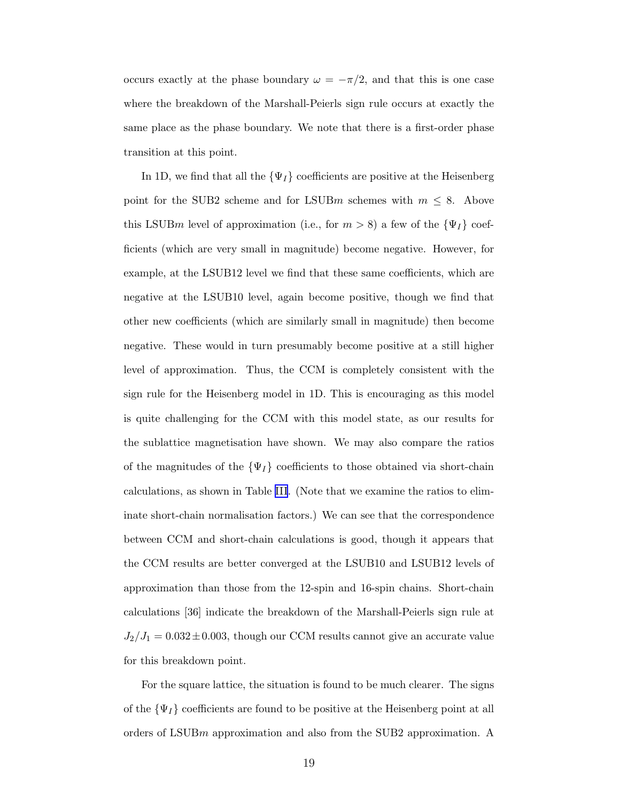occurs exactly at the phase boundary  $\omega = -\pi/2$ , and that this is one case where the breakdown of the Marshall-Peierls sign rule occurs at exactly the same place as the phase boundary. We note that there is a first-order phase transition at this point.

In 1D, we find that all the  $\{\Psi_I\}$  coefficients are positive at the Heisenberg point for the SUB2 scheme and for LSUBm schemes with  $m \leq 8$ . Above this LSUBm level of approximation (i.e., for  $m > 8$ ) a few of the  $\{\Psi_I\}$  coefficients (which are very small in magnitude) become negative. However, for example, at the LSUB12 level we find that these same coefficients, which are negative at the LSUB10 level, again become positive, though we find that other new coefficients (which are similarly small in magnitude) then become negative. These would in turn presumably become positive at a still higher level of approximation. Thus, the CCM is completely consistent with the sign rule for the Heisenberg model in 1D. This is encouraging as this model is quite challenging for the CCM with this model state, as our results for the sublattice magnetisation have shown. We may also compare the ratios of the magnitudes of the  $\{\Psi_I\}$  coefficients to those obtained via short-chain calculations, as shown in Table [III](#page-27-0). (Note that we examine the ratios to eliminate short-chain normalisation factors.) We can see that the correspondence between CCM and short-chain calculations is good, though it appears that the CCM results are better converged at the LSUB10 and LSUB12 levels of approximation than those from the 12-spin and 16-spin chains. Short-chain calculations [36] indicate the breakdown of the Marshall-Peierls sign rule at  $J_2/J_1 = 0.032 \pm 0.003$ , though our CCM results cannot give an accurate value for this breakdown point.

For the square lattice, the situation is found to be much clearer. The signs of the  $\{\Psi_I\}$  coefficients are found to be positive at the Heisenberg point at all orders of LSUBm approximation and also from the SUB2 approximation. A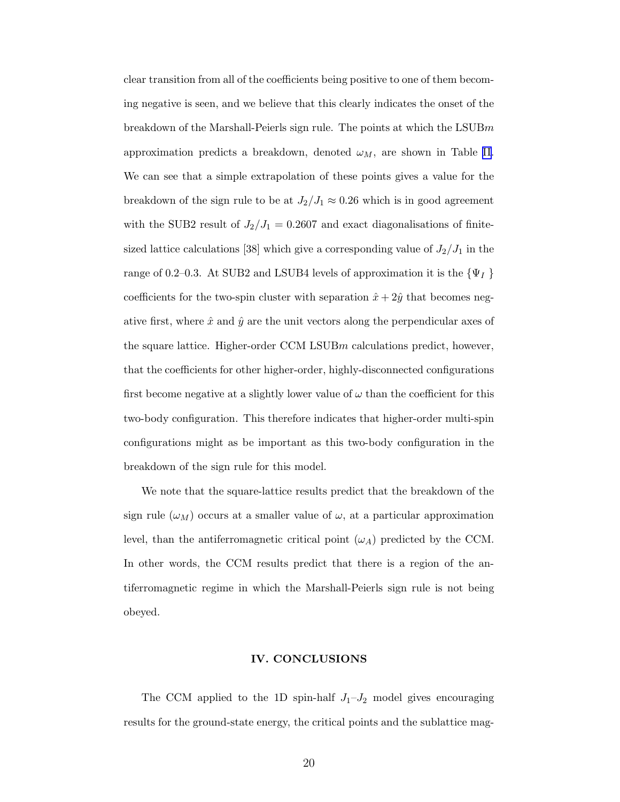clear transition from all of the coefficients being positive to one of them becoming negative is seen, and we believe that this clearly indicates the onset of the breakdown of the Marshall-Peierls sign rule. The points at which the LSUBm approximation predicts a breakdown, denoted  $\omega_M$ , are shown in Table [II](#page-27-0). We can see that a simple extrapolation of these points gives a value for the breakdown of the sign rule to be at  $J_2/J_1 \approx 0.26$  which is in good agreement with the SUB2 result of  $J_2/J_1 = 0.2607$  and exact diagonalisations of finitesized lattice calculations [38] which give a corresponding value of  $J_2/J_1$  in the range of 0.2–0.3. At SUB2 and LSUB4 levels of approximation it is the  $\{\Psi_I$  } coefficients for the two-spin cluster with separation  $\hat{x} + 2\hat{y}$  that becomes negative first, where  $\hat{x}$  and  $\hat{y}$  are the unit vectors along the perpendicular axes of the square lattice. Higher-order CCM LSUBm calculations predict, however, that the coefficients for other higher-order, highly-disconnected configurations first become negative at a slightly lower value of  $\omega$  than the coefficient for this two-body configuration. This therefore indicates that higher-order multi-spin configurations might as be important as this two-body configuration in the breakdown of the sign rule for this model.

We note that the square-lattice results predict that the breakdown of the sign rule  $(\omega_M)$  occurs at a smaller value of  $\omega$ , at a particular approximation level, than the antiferromagnetic critical point  $(\omega_A)$  predicted by the CCM. In other words, the CCM results predict that there is a region of the antiferromagnetic regime in which the Marshall-Peierls sign rule is not being obeyed.

### IV. CONCLUSIONS

The CCM applied to the 1D spin-half  $J_1-J_2$  model gives encouraging results for the ground-state energy, the critical points and the sublattice mag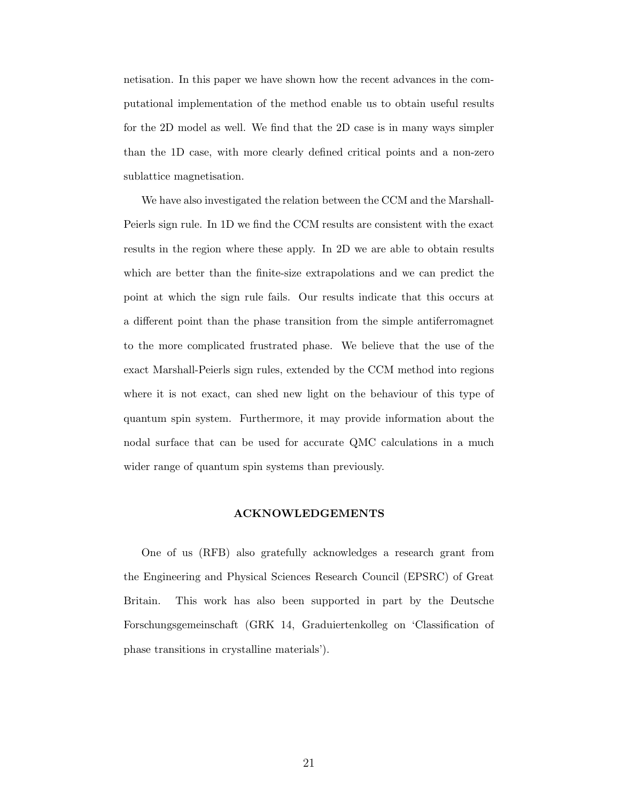netisation. In this paper we have shown how the recent advances in the computational implementation of the method enable us to obtain useful results for the 2D model as well. We find that the 2D case is in many ways simpler than the 1D case, with more clearly defined critical points and a non-zero sublattice magnetisation.

We have also investigated the relation between the CCM and the Marshall-Peierls sign rule. In 1D we find the CCM results are consistent with the exact results in the region where these apply. In 2D we are able to obtain results which are better than the finite-size extrapolations and we can predict the point at which the sign rule fails. Our results indicate that this occurs at a different point than the phase transition from the simple antiferromagnet to the more complicated frustrated phase. We believe that the use of the exact Marshall-Peierls sign rules, extended by the CCM method into regions where it is not exact, can shed new light on the behaviour of this type of quantum spin system. Furthermore, it may provide information about the nodal surface that can be used for accurate QMC calculations in a much wider range of quantum spin systems than previously.

### ACKNOWLEDGEMENTS

One of us (RFB) also gratefully acknowledges a research grant from the Engineering and Physical Sciences Research Council (EPSRC) of Great Britain. This work has also been supported in part by the Deutsche Forschungsgemeinschaft (GRK 14, Graduiertenkolleg on 'Classification of phase transitions in crystalline materials').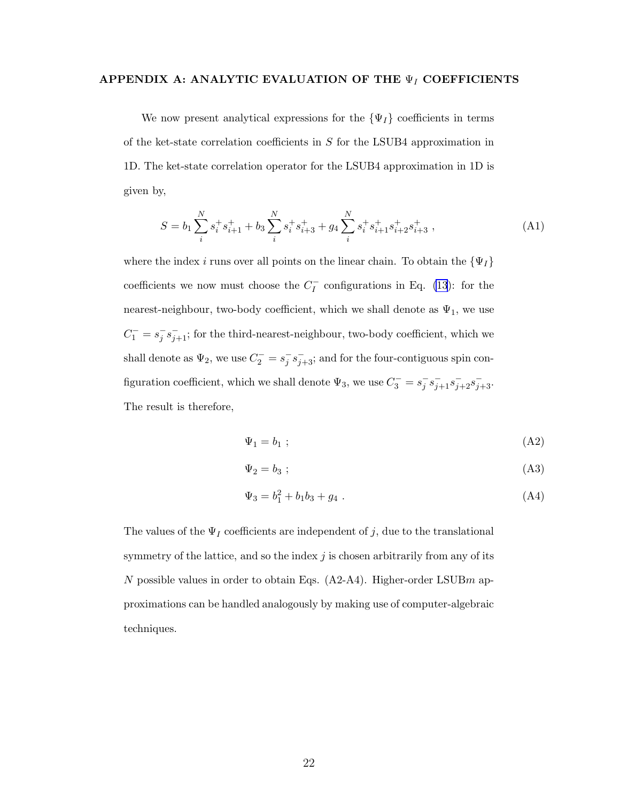# APPENDIX A: ANALYTIC EVALUATION OF THE  $\Psi_I$  COEFFICIENTS

We now present analytical expressions for the  $\{\Psi_I\}$  coefficients in terms of the ket-state correlation coefficients in S for the LSUB4 approximation in 1D. The ket-state correlation operator for the LSUB4 approximation in 1D is given by,

$$
S = b_1 \sum_{i}^{N} s_i^+ s_{i+1}^+ + b_3 \sum_{i}^{N} s_i^+ s_{i+3}^+ + g_4 \sum_{i}^{N} s_i^+ s_{i+1}^+ s_{i+2}^+ s_{i+3}^+, \tag{A1}
$$

where the index i runs over all points on the linear chain. To obtain the  $\{\Psi_I\}$ coefficients we now must choose the  $C_I^-$  configurations in Eq. [\(13](#page-13-0)): for the nearest-neighbour, two-body coefficient, which we shall denote as  $\Psi_1$ , we use  $C_1^- = s_j^- s_{j+1}^-$ ; for the third-nearest-neighbour, two-body coefficient, which we shall denote as  $\Psi_2$ , we use  $C_2^- = s_j^- s_{j+3}^-$ ; and for the four-contiguous spin configuration coefficient, which we shall denote  $\Psi_3$ , we use  $C_3^- = s_j^- s_{j+1}^- s_{j+2}^- s_{j+3}^-$ . The result is therefore,

$$
\Psi_1 = b_1 \tag{A2}
$$

$$
\Psi_2 = b_3 ; \tag{A3}
$$

$$
\Psi_3 = b_1^2 + b_1 b_3 + g_4 \tag{A4}
$$

The values of the  $\Psi_I$  coefficients are independent of j, due to the translational symmetry of the lattice, and so the index  $j$  is chosen arbitrarily from any of its N possible values in order to obtain Eqs.  $(A2-A4)$ . Higher-order LSUBm approximations can be handled analogously by making use of computer-algebraic techniques.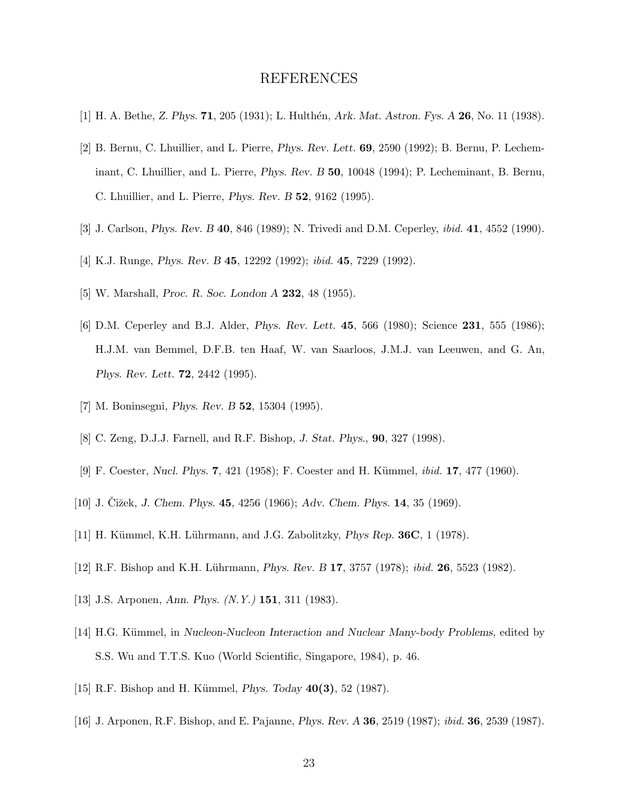# REFERENCES

- [1] H. A. Bethe, *Z. Phys.* 71, 205 (1931); L. Hulth´en, *Ark. Mat. Astron. Fys. A* 26, No. 11 (1938).
- [2] B. Bernu, C. Lhuillier, and L. Pierre, *Phys. Rev. Lett.* 69, 2590 (1992); B. Bernu, P. Lecheminant, C. Lhuillier, and L. Pierre, *Phys. Rev. B* 50, 10048 (1994); P. Lecheminant, B. Bernu, C. Lhuillier, and L. Pierre, *Phys. Rev. B* 52, 9162 (1995).
- [3] J. Carlson, *Phys. Rev. B* 40, 846 (1989); N. Trivedi and D.M. Ceperley, ibid. 41, 4552 (1990).
- [4] K.J. Runge, *Phys. Rev. B* 45, 12292 (1992); ibid. 45, 7229 (1992).
- [5] W. Marshall, *Proc. R. Soc. London A* 232, 48 (1955).
- [6] D.M. Ceperley and B.J. Alder, *Phys. Rev. Lett.* 45, 566 (1980); Science 231, 555 (1986); H.J.M. van Bemmel, D.F.B. ten Haaf, W. van Saarloos, J.M.J. van Leeuwen, and G. An, *Phys. Rev. Lett.* 72, 2442 (1995).
- [7] M. Boninsegni, *Phys. Rev. B* 52, 15304 (1995).
- [8] C. Zeng, D.J.J. Farnell, and R.F. Bishop, *J. Stat. Phys.*, 90, 327 (1998).
- [9] F. Coester, *Nucl. Phys.* **7**, 421 (1958); F. Coester and H. Kümmel, *ibid.* **17**, 477 (1960).
- [10] J. Cižek, *J. Chem. Phys.* **45**, 4256 (1966); *Adv. Chem. Phys.* **14**, 35 (1969).
- [11] H. Kümmel, K.H. Lührmann, and J.G. Zabolitzky, *Phys Rep.* **36C**, 1 (1978).
- [12] R.F. Bishop and K.H. Lührmann, *Phys. Rev. B* 17, 3757 (1978); *ibid.* **26**, 5523 (1982).
- [13] J.S. Arponen, *Ann. Phys.* (N.Y.) 151, 311 (1983).
- [14] H.G. Kümmel, in *Nucleon-Nucleon Interaction and Nuclear Many-body Problems*, edited by S.S. Wu and T.T.S. Kuo (World Scientific, Singapore, 1984), p. 46.
- [15] R.F. Bishop and H. Kümmel, *Phys. Today* 40(3), 52 (1987).
- [16] J. Arponen, R.F. Bishop, and E. Pajanne, *Phys. Rev. A* 36, 2519 (1987); ibid. 36, 2539 (1987).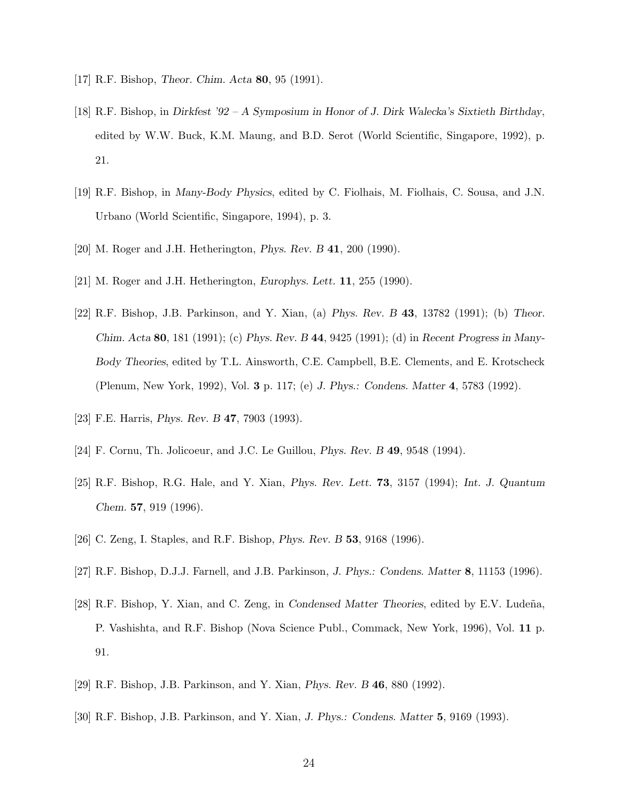- [17] R.F. Bishop, *Theor. Chim. Acta* 80, 95 (1991).
- [18] R.F. Bishop, in *Dirkfest '92 A Symposium in Honor of J. Dirk Walecka's Sixtieth Birthday*, edited by W.W. Buck, K.M. Maung, and B.D. Serot (World Scientific, Singapore, 1992), p. 21.
- [19] R.F. Bishop, in *Many-Body Physics*, edited by C. Fiolhais, M. Fiolhais, C. Sousa, and J.N. Urbano (World Scientific, Singapore, 1994), p. 3.
- [20] M. Roger and J.H. Hetherington, *Phys. Rev. B* 41, 200 (1990).
- [21] M. Roger and J.H. Hetherington, *Europhys. Lett.* 11, 255 (1990).
- [22] R.F. Bishop, J.B. Parkinson, and Y. Xian, (a) *Phys. Rev. B* 43, 13782 (1991); (b) *Theor. Chim. Acta* 80, 181 (1991); (c) *Phys. Rev. B* 44, 9425 (1991); (d) in *Recent Progress in Many-Body Theories*, edited by T.L. Ainsworth, C.E. Campbell, B.E. Clements, and E. Krotscheck (Plenum, New York, 1992), Vol. 3 p. 117; (e) *J. Phys.: Condens. Matter* 4, 5783 (1992).
- [23] F.E. Harris, *Phys. Rev. B* 47, 7903 (1993).
- [24] F. Cornu, Th. Jolicoeur, and J.C. Le Guillou, *Phys. Rev. B* 49, 9548 (1994).
- [25] R.F. Bishop, R.G. Hale, and Y. Xian, *Phys. Rev. Lett.* 73, 3157 (1994); *Int. J. Quantum Chem.* 57, 919 (1996).
- [26] C. Zeng, I. Staples, and R.F. Bishop, *Phys. Rev. B* 53, 9168 (1996).
- [27] R.F. Bishop, D.J.J. Farnell, and J.B. Parkinson, *J. Phys.: Condens. Matter* 8, 11153 (1996).
- [28] R.F. Bishop, Y. Xian, and C. Zeng, in *Condensed Matter Theories*, edited by E.V. Ludeña, P. Vashishta, and R.F. Bishop (Nova Science Publ., Commack, New York, 1996), Vol. 11 p. 91.
- [29] R.F. Bishop, J.B. Parkinson, and Y. Xian, *Phys. Rev. B* 46, 880 (1992).
- [30] R.F. Bishop, J.B. Parkinson, and Y. Xian, *J. Phys.: Condens. Matter* 5, 9169 (1993).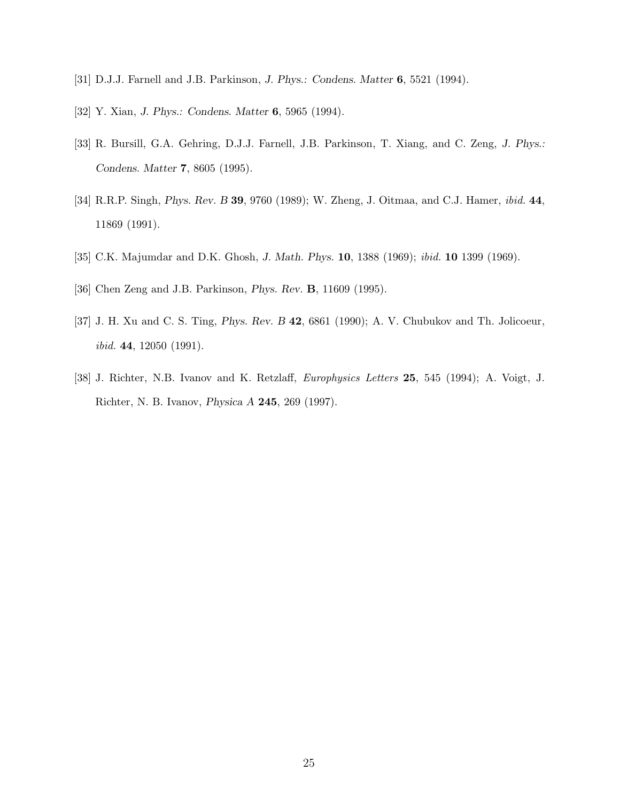- [31] D.J.J. Farnell and J.B. Parkinson, *J. Phys.: Condens. Matter* 6, 5521 (1994).
- [32] Y. Xian, *J. Phys.: Condens. Matter* 6, 5965 (1994).
- [33] R. Bursill, G.A. Gehring, D.J.J. Farnell, J.B. Parkinson, T. Xiang, and C. Zeng, *J. Phys.: Condens. Matter* 7, 8605 (1995).
- [34] R.R.P. Singh, *Phys. Rev. B* 39, 9760 (1989); W. Zheng, J. Oitmaa, and C.J. Hamer, ibid. 44, 11869 (1991).
- [35] C.K. Majumdar and D.K. Ghosh, *J. Math. Phys.* 10, 1388 (1969); ibid. 10 1399 (1969).
- [36] Chen Zeng and J.B. Parkinson, *Phys. Rev.* B, 11609 (1995).
- [37] J. H. Xu and C. S. Ting, *Phys. Rev. B* 42, 6861 (1990); A. V. Chubukov and Th. Jolicoeur, ibid. 44, 12050 (1991).
- [38] J. Richter, N.B. Ivanov and K. Retzlaff, *Europhysics Letters* 25, 545 (1994); A. Voigt, J. Richter, N. B. Ivanov, *Physica A* 245, 269 (1997).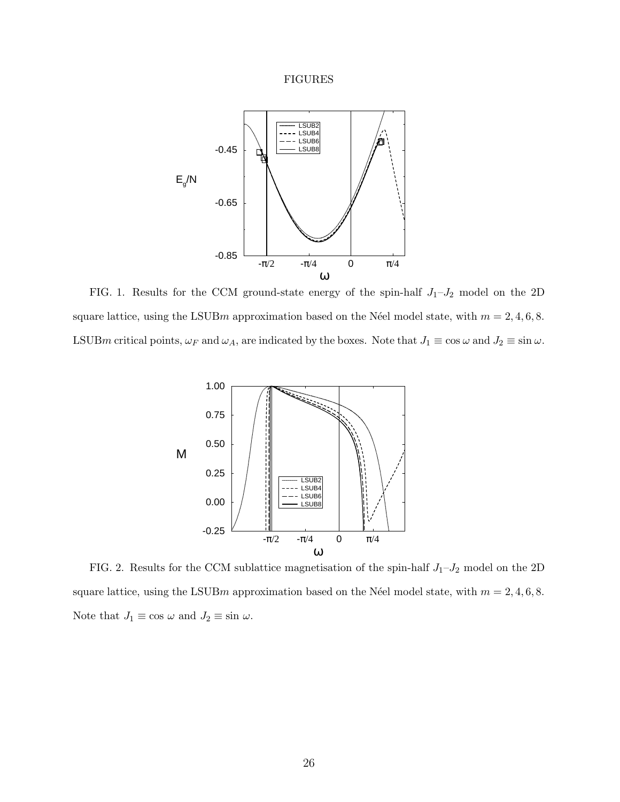# FIGURES

<span id="page-25-0"></span>

FIG. 1. Results for the CCM ground-state energy of the spin-half  $J_1-J_2$  model on the 2D square lattice, using the LSUBm approximation based on the Néel model state, with  $m = 2, 4, 6, 8$ . LSUBm critical points,  $\omega_F$  and  $\omega_A$ , are indicated by the boxes. Note that  $J_1 \equiv \cos \omega$  and  $J_2 \equiv \sin \omega$ .



FIG. 2. Results for the CCM sublattice magnetisation of the spin-half  $J_1-J_2$  model on the 2D square lattice, using the LSUB $m$  approximation based on the Néel model state, with  $m = 2, 4, 6, 8$ . Note that  $J_1 \equiv \cos \omega$  and  $J_2 \equiv \sin \omega$ .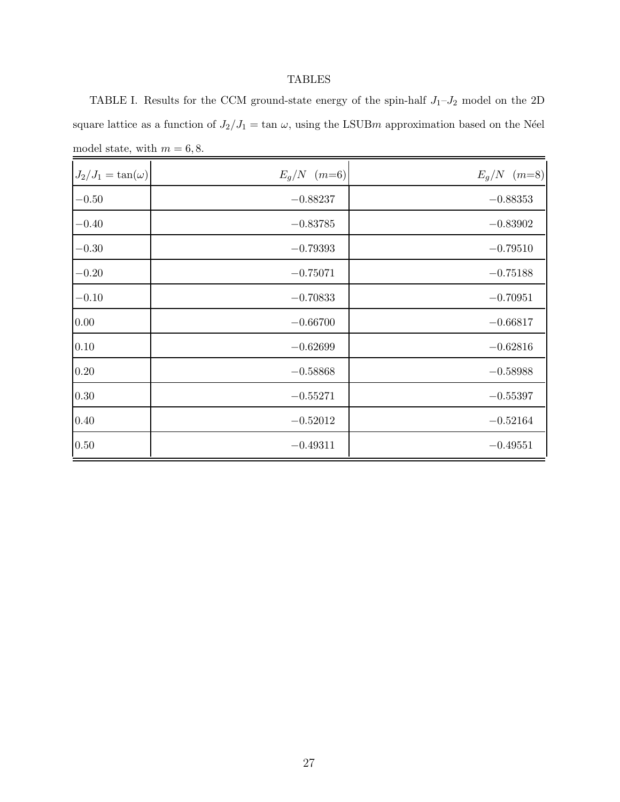# TABLES

<span id="page-26-0"></span>TABLE I. Results for the CCM ground-state energy of the spin-half  $J_1-J_2$  model on the 2D square lattice as a function of  $J_2/J_1 = \tan \omega$ , using the LSUBm approximation based on the Néel model state, with  $m = 6, 8$ .

| $J_2/J_1 = \tan(\omega)$ | $E_q/N$ (m=6) | $E_g/N$ (m=8) |
|--------------------------|---------------|---------------|
| $-0.50$                  | $-0.88237$    | $-0.88353$    |
| $-0.40$                  | $-0.83785$    | $-0.83902$    |
| $-0.30$                  | $-0.79393$    | $-0.79510$    |
| $-0.20$                  | $-0.75071$    | $-0.75188$    |
| $-0.10$                  | $-0.70833$    | $-0.70951$    |
| 0.00                     | $-0.66700$    | $-0.66817$    |
| $0.10\,$                 | $-0.62699$    | $-0.62816$    |
| $0.20\,$                 | $-0.58868$    | $-0.58988$    |
| $0.30\,$                 | $-0.55271$    | $-0.55397$    |
| $0.40\,$                 | $-0.52012$    | $-0.52164$    |
| 0.50                     | $-0.49311$    | $-0.49551$    |